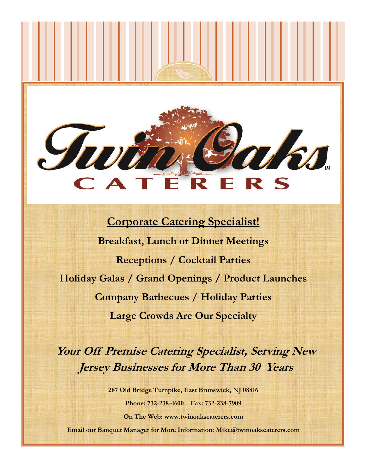# ACA R S Е

## **Corporate Catering Specialist! Breakfast, Lunch or Dinner Meetings Receptions / Cocktail Parties Holiday Galas / Grand Openings / Product Launches Company Barbecues / Holiday Parties Large Crowds Are Our Specialty**

**Your Off Premise Catering Specialist, Serving New Jersey Businesses for More Than 30 Years**

**287 Old Bridge Turnpike, East Brunswick, NJ 08816 Phone: 732-238-4600 Fax: 732-238-7909 On The Web: www.twinoakscaterers.com**

**Email our Banquet Manager for More Information: Mike@twinoakscaterers.com**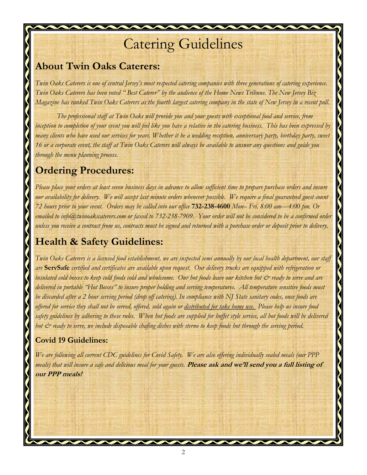## Catering Guidelines

### **About Twin Oaks Caterers:**

*Twin Oaks Caterers is one of central Jersey's most respected catering companies with three generations of catering experience. Twin Oaks Caterers has been voted " Best Caterer" by the audience of the Home News Tribune. The New Jersey Biz Magazine has ranked Twin Oaks Caterers as the fourth largest catering company in the state of New Jersey in a recent poll.*

*The professional staff at Twin Oaks will provide you and your guests with exceptional food and service, from inception to completion of your event you will feel like you have a relative in the catering business. This has been expressed by many clients who have used our services for years. Whether it be a wedding reception, anniversary party, birthday party, sweet 16 or a corporate event, the staff at Twin Oaks Caterers will always be available to answer any questions and guide you through the menu planning process.*

### **Ordering Procedures:**

*Please place your orders at least seven business days in advance to allow sufficient time to prepare purchase orders and insure our availability for delivery. We will accept last minute orders whenever possible. We require a final guaranteed guest count 72 hours prior to your event. Orders may be called into our office* **732-238-4600** *Mon– Fri. 8:00 am—4:00 pm. Or emailed to info@twinoakscaterers.com or faxed to 732-238-7909. Your order will not be considered to be a confirmed order unless you receive a contract from us, contracts must be signed and returned with a purchase order or deposit prior to delivery.*

## **Health & Safety Guidelines:**

*Twin Oaks Caterers is a licensed food establishment, we are inspected semi annually by our local health department, our staff are* **ServSafe** *certified and certificates are available upon request. Our delivery trucks are equipped with refrigeration or*  insulated cold boxes to keep cold foods cold and wholesome. Our hot foods leave our kitchen hot & ready to serve and are *delivered in portable "Hot Boxes" to insure proper holding and serving temperatures. All temperature sensitive foods must be discarded after a 2 hour serving period (drop off catering). In compliance with NJ State sanitary codes, once foods are offered for service they shall not be served, offered, sold again or distributed for take home use. Please help us insure food safety guidelines by adhering to these rules. When hot foods are supplied for buffet style service, all hot foods will be delivered hot & ready to serve, we include disposable chafing dishes with sterno to keep foods hot through the serving period.*

### **Covid 19 Guidelines:**

*We are following all current CDC guidelines for Covid Safety. We are also offering individually sealed meals (our PPP meals) that will insure a safe and delicious meal for your guests.* **Please ask and we'll send you a full listing of our PPP meals!**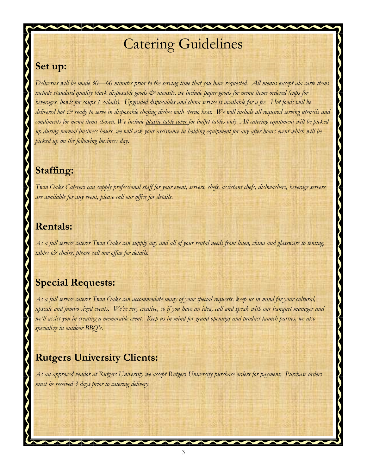## Catering Guidelines

### **Set up:**

*Deliveries will be made 30—60 minutes prior to the serving time that you have requested. All menus except ala carte items*  include standard quality black disposable goods  $\breve{c}$  utensils, we include paper goods for menu items ordered (cups for *beverages, bowls for soups / salads). Upgraded disposables and china service is available for a fee. Hot foods will be delivered hot & ready to serve in disposable chafing dishes with sterno heat. We will include all required serving utensils and condiments for menu items chosen. We include plastic table cover for buffet tables only. All catering equipment will be picked up during normal business hours, we will ask your assistance in holding equipment for any after hours event which will be picked up on the following business day.*

## **Staffing:**

*Twin Oaks Caterers can supply professional staff for your event, servers, chefs, assistant chefs, dishwashers, beverage servers are available for any event, please call our office for details.*

### **Rentals:**

*As a full service caterer Twin Oaks can supply any and all of your rental needs from linen, china and glassware to tenting, tables & chairs, please call our office for details.*

## **Special Requests:**

*As a full service caterer Twin Oaks can accommodate many of your special requests, keep us in mind for your cultural, upscale and jumbo sized events. We're very creative, so if you have an idea, call and speak with our banquet manager and we'll assist you in creating a memorable event. Keep us in mind for grand openings and product launch parties, we also specialize in outdoor BBQ's.*

## **Rutgers University Clients:**

*As an approved vendor at Rutgers University we accept Rutgers University purchase orders for payment. Purchase orders must be received 3 days prior to catering delivery.*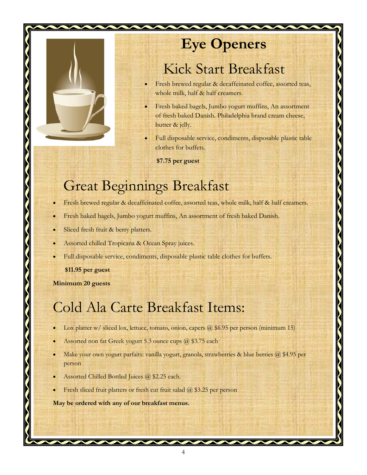

## **Eye Openers**

## Kick Start Breakfast

- Fresh brewed regular & decaffeinated coffee, assorted teas, whole milk, half & half creamers.
- Fresh baked bagels, Jumbo yogurt muffins, An assortment of fresh baked Danish. Philadelphia brand cream cheese, butter & jelly.
- Full disposable service, condiments, disposable plastic table clothes for buffets.

**\$7.75 per guest** 

## Great Beginnings Breakfast

- Fresh brewed regular & decaffeinated coffee, assorted teas, whole milk, half & half creamers.
- Fresh baked bagels, Jumbo yogurt muffins, An assortment of fresh baked Danish.
- Sliced fresh fruit & berry platters.
- Assorted chilled Tropicana & Ocean Spray juices.
- Full disposable service, condiments, disposable plastic table clothes for buffets.

**\$11.95 per guest** 

**Minimum 20 guests**

## Cold Ala Carte Breakfast Items:

- Lox platter  $w/$  sliced lox, lettuce, tomato, onion, capers  $\omega$  \$6.95 per person (minimum 15)
- Assorted non fat Greek yogurt 5.3 ounce cups @ \$3.75 each
- Make your own yogurt parfaits: vanilla yogurt, granola, strawberries & blue berries  $\omega$  \$4.95 per person
- Assorted Chilled Bottled Juices @ \$2.25 each.
- Fresh sliced fruit platters or fresh cut fruit salad @ \$3.25 per person

**May be ordered with any of our breakfast menus.**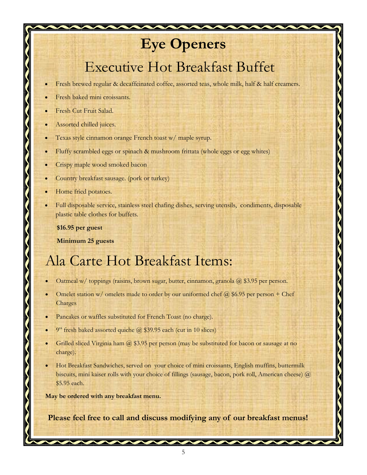## **Eye Openers**

## Executive Hot Breakfast Buffet

- Fresh brewed regular & decaffeinated coffee, assorted teas, whole milk, half & half creamers.
- Fresh baked mini croissants.
- Fresh Cut Fruit Salad.
- Assorted chilled juices.
- Texas style cinnamon orange French toast w/ maple syrup.
- Fluffy scrambled eggs or spinach & mushroom frittata (whole eggs or egg whites)
- Crispy maple wood smoked bacon
- Country breakfast sausage. (pork or turkey)
- Home fried potatoes.
- Full disposable service, stainless steel chafing dishes, serving utensils, condiments, disposable plastic table clothes for buffets.

**\$16.95 per guest** 

 **Minimum 25 guests**

## Ala Carte Hot Breakfast Items:

- Oatmeal w/ toppings (raisins, brown sugar, butter, cinnamon, granola  $\omega$  \$3.95 per person.
- Omelet station w/ omelets made to order by our uniformed chef  $\omega$  \$6.95 per person + Chef Charges
- Pancakes or waffles substituted for French Toast (no charge).
- 9" fresh baked assorted quiche @ \$39.95 each (cut in 10 slices)
- Grilled sliced Virginia ham  $\omega$  \$3.95 per person (may be substituted for bacon or sausage at no charge).
- Hot Breakfast Sandwiches, served on your choice of mini croissants, English muffins, buttermilk biscuits, mini kaiser rolls with your choice of fillings (sausage, bacon, pork roll, American cheese) @ \$5.95 each.

**May be ordered with any breakfast menu.**

**Please feel free to call and discuss modifying any of our breakfast menus!**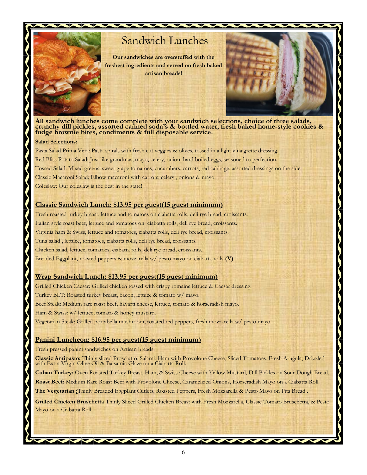

## Sandwich Lunches

**Our sandwiches are overstuffed with the freshest ingredients and served on fresh baked artisan breads!**



**All sandwich lunches come complete with your sandwich selections, choice of three salads, crunchy dill pickles, assorted canned soda's & bottled water, fresh baked home-style cookies & fudge brownie bites, condiments & full disposable service.**

#### **Salad Selections:**

Pasta Salad Prima Vera: Pasta spirals with fresh cut veggies & olives, tossed in a light vinaigrette dressing. Red Bliss Potato Salad: Just like grandmas, mayo, celery, onion, hard boiled eggs, seasoned to perfection. Tossed Salad: Mixed greens, sweet grape tomatoes, cucumbers, carrots, red cabbage, assorted dressings on the side. Classic Macaroni Salad: Elbow macaroni with carrots, celery , onions & mayo. Coleslaw: Our coleslaw is the best in the state!

#### **Classic Sandwich Lunch: \$13.95 per guest(15 guest minimum)**

Fresh roasted turkey breast, lettuce and tomatoes on ciabatta rolls, deli rye bread, croissants. Italian style roast beef, lettuce and tomatoes on ciabatta rolls, deli rye bread, croissants. Virginia ham & Swiss, lettuce and tomatoes, ciabatta rolls, deli rye bread, croissants. Tuna salad , lettuce, tomatoes, ciabatta rolls, deli rye bread, croissants. Chicken salad, lettuce, tomatoes, ciabatta rolls, deli rye bread, croissants. Breaded Eggplant, roasted peppers & mozzarella w/ pesto mayo on ciabatta rolls **(V)**

#### **Wrap Sandwich Lunch: \$13.95 per guest(15 guest minimum)**

Grilled Chicken Caesar: Grilled chicken tossed with crispy romaine lettuce & Caesar dressing. Turkey BLT: Roasted turkey breast, bacon, lettuce & tomato w/ mayo. Beef Steak: Medium rare roast beef, havarti cheese, lettuce, tomato & horseradish mayo. Ham & Swiss: w/ lettuce, tomato & honey mustard. Vegetarian Steak: Grilled portabella mushroom, roasted red peppers, fresh mozzarella w/ pesto mayo.

#### **Panini Luncheon: \$16.95 per guest(15 guest minimum)**

Fresh pressed panini sandwiches on Artisan breads.

**Classic Antipasto:** Thinly sliced Prosciutto, Salami, Ham with Provolone Cheese, Sliced Tomatoes, Fresh Arugula, Drizzled with Extra Virgin Olive Oil & Balsamic Glaze on a Ciabatta Roll.

**Cuban Turkey:** Oven Roasted Turkey Breast, Ham, & Swiss Cheese with Yellow Mustard, Dill Pickles on Sour Dough Bread.

**Roast Beef:** Medium Rare Roast Beef with Provolone Cheese, Caramelized Onions, Horseradish Mayo on a Ciabatta Roll.

**The Vegetarian :**Thinly Breaded Eggplant Cutlets, Roasted Peppers, Fresh Mozzarella & Pesto Mayo on Pita Bread .

**Grilled Chicken Bruschetta** Thinly Sliced Grilled Chicken Breast with Fresh Mozzarella, Classic Tomato Bruschetta, & Pesto Mayo on a Ciabatta Roll.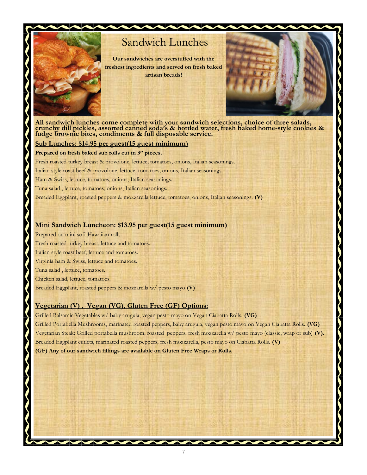

## Sandwich Lunches

**Our sandwiches are overstuffed with the freshest ingredients and served on fresh baked artisan breads!**



**All sandwich lunches come complete with your sandwich selections, choice of three salads, crunchy dill pickles, assorted canned soda's & bottled water, fresh baked home-style cookies & fudge brownie bites, condiments & full disposable service.**

#### **Sub Lunches: \$14.95 per guest(15 guest minimum)**

**Prepared on fresh baked sub rolls cut in 3" pieces.**

Fresh roasted turkey breast & provolone, lettuce, tomatoes, onions, Italian seasonings.

Italian style roast beef & provolone, lettuce, tomatoes, onions, Italian seasonings.

Ham & Swiss, lettuce, tomatoes, onions, Italian seasonings.

Tuna salad , lettuce, tomatoes, onions, Italian seasonings.

Breaded Eggplant, roasted peppers & mozzarella lettuce, tomatoes, onions, Italian seasonings. **(V)**

#### **Mini Sandwich Luncheon: \$13.95 per guest(15 guest minimum)**

Prepared on mini soft Hawaiian rolls.

Fresh roasted turkey breast, lettuce and tomatoes.

Italian style roast beef, lettuce and tomatoes.

Virginia ham & Swiss, lettuce and tomatoes.

Tuna salad , lettuce, tomatoes.

Chicken salad, lettuce, tomatoes.

Breaded Eggplant, roasted peppers & mozzarella w/ pesto mayo **(V)**

#### **Vegetarian (V) , Vegan (VG), Gluten Free (GF) Options:**

Grilled Balsamic Vegetables w/ baby arugula, vegan pesto mayo on Vegan Ciabatta Rolls. **(VG)** Grilled Portabella Mushrooms, marinated roasted peppers, baby arugula, vegan pesto mayo on Vegan Ciabatta Rolls. **(VG)** Vegetarian Steak: Grilled portabella mushroom, roasted peppers, fresh mozzarella w/ pesto mayo (classic, wrap or sub) **(V).** Breaded Eggplant cutlets, marinated roasted peppers, fresh mozzarella, pesto mayo on Ciabatta Rolls. **(V) (GF) Any of our sandwich fillings are available on Gluten Free Wraps or Rolls.**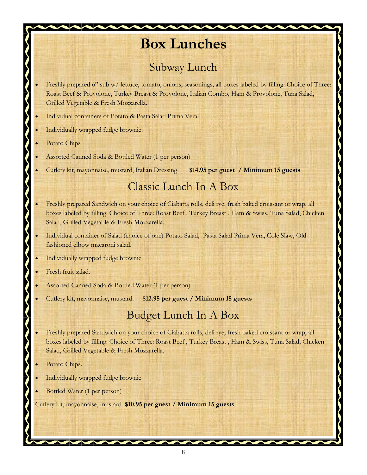## **Box Lunches**

## Subway Lunch

- Freshly prepared 6" sub w/ lettuce, tomato, onions, seasonings, all boxes labeled by filling: Choice of Three: Roast Beef & Provolone, Turkey Breast & Provolone, Italian Combo, Ham & Provolone, Tuna Salad, Grilled Vegetable & Fresh Mozzarella.
- Individual containers of Potato & Pasta Salad Prima Vera.
- Individually wrapped fudge brownie.
- Potato Chips
- Assorted Canned Soda & Bottled Water (1 per person)
- Cutlery kit, mayonnaise, mustard, Italian Dressing **\$14.95 per guest / Minimum 15 guests**

### Classic Lunch In A Box

- Freshly prepared Sandwich on your choice of Ciabatta rolls, deli rye, fresh baked croissant or wrap, all boxes labeled by filling: Choice of Three: Roast Beef , Turkey Breast , Ham & Swiss, Tuna Salad, Chicken Salad, Grilled Vegetable & Fresh Mozzarella.
- Individual container of Salad (choice of one) Potato Salad, Pasta Salad Prima Vera, Cole Slaw, Old fashioned elbow macaroni salad.
- Individually wrapped fudge brownie.
- Fresh fruit salad.
- Assorted Canned Soda & Bottled Water (1 per person)
- Cutlery kit, mayonnaise, mustard. **\$12.95 per guest / Minimum 15 guests**

### Budget Lunch In A Box

- Freshly prepared Sandwich on your choice of Ciabatta rolls, deli rye, fresh baked croissant or wrap, all boxes labeled by filling: Choice of Three: Roast Beef , Turkey Breast , Ham & Swiss, Tuna Salad, Chicken Salad, Grilled Vegetable & Fresh Mozzarella.
- Potato Chips.
- Individually wrapped fudge brownie
- Bottled Water (1 per person)

Cutlery kit, mayonnaise, mustard. **\$10.95 per guest / Minimum 15 guests**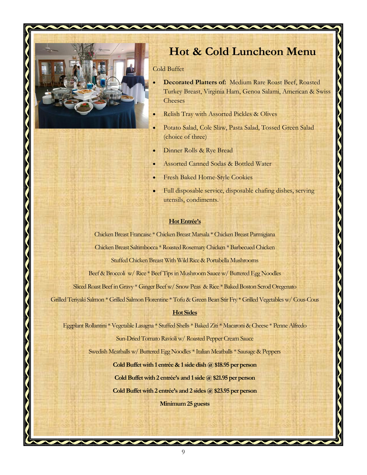

## **Hot & Cold Luncheon Menu**

Cold Buffet

 **Decorated Platters of:** Medium Rare Roast Beef, Roasted Turkey Breast, Virginia Ham, Genoa Salami, American & Swiss **Cheeses** 

 $\bigwedge$ 

- Relish Tray with Assorted Pickles & Olives
- Potato Salad, Cole Slaw, Pasta Salad, Tossed Green Salad (choice of three)
- Dinner Rolls & Rye Bread
- Assorted Canned Sodas & Bottled Water
- Fresh Baked Home-Style Cookies
- Full disposable service, disposable chafing dishes, serving utensils, condiments.

#### **Hot Entrée's**

Chicken Breast Francaise \* Chicken Breast Marsala \* Chicken Breast Parmigiana Chicken Breast Saltimbocca \* Roasted Rosemary Chicken \* Barbecued Chicken

Stuffed Chicken Breast With Wild Rice & Portabella Mushrooms

Beef & Broccoli w/ Rice \* Beef Tips in Mushroom Sauce w/ Buttered Egg Noodles

Sliced Roast Beef in Gravy \* Ginger Beef w/ Snow Peas & Rice \* Baked Boston Scrod Oregenato

Grilled Teriyaki Salmon \* Grilled Salmon Florentine \* Tofu & Green Bean Stir Fry \* Grilled Vegetables w/ Cous-Cous

#### **Hot Sides**

Eggplant Rollantini \* Vegetable Lasagna \* Stuffed Shells \* Baked Ziti \* Macaroni & Cheese \* Penne Alfredo

Sun-Dried Tomato Ravioli w/ Roasted Pepper Cream Sauce

Swedish Meatballs w/ Buttered Egg Noodles \* Italian Meatballs \* Sausage & Peppers

**Cold Buffet with 1 entrée & 1 side dish @ \$18.95 per person** 

**Cold Buffet with 2 entrée's and 1 side @ \$21.95 per person** 

**Cold Buffet with 2 entrée's and 2 sides @ \$23.95 per person** 

**Minimum 25 guests**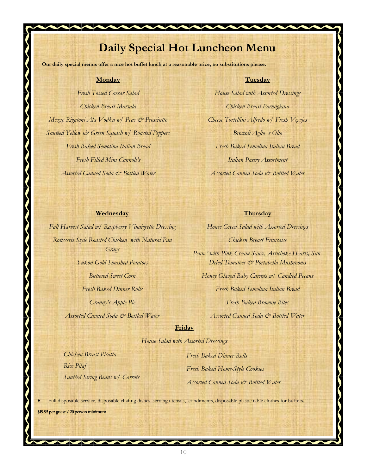## **Daily Special Hot Luncheon Menu**

**Our daily special menus offer a nice hot buffet lunch at a reasonable price, no substitutions please.**

#### **Monday**

*Fresh Tossed Caesar Salad Chicken Breast Marsala Mezze Rigatoni Ala Vodka w/ Peas & Prosciutto Sautéed Yellow & Green Squash w/ Roasted Peppers Fresh Baked Semolina Italian Bread Fresh Filled Mini Cannoli's Assorted Canned Soda & Bottled Water*

#### **Tuesday**

*House Salad with Assorted Dressings Chicken Breast Parmigiana Cheese Tortellini Alfredo w/ Fresh Veggies Broccoli Aglio e Olio Fresh Baked Semolina Italian Bread Italian Pastry Assortment Assorted Canned Soda & Bottled Water*

#### **Wednesday**

*Fall Harvest Salad w/ Raspberry Vinaigrette Dressing Rotisserie Style Roasted Chicken with Natural Pan Gravy Yukon Gold Smashed Potatoes Buttered Sweet Corn Fresh Baked Dinner Rolls Granny's Apple Pie Assorted Canned Soda & Bottled Water*

#### **Thursday**

*House Green Salad with Assorted Dressings Chicken Breast Francaise Penne' with Pink Cream Sauce, Artichoke Hearts, Sun-Dried Tomatoes & Portabella Mushrooms Honey Glazed Baby Carrots w/ Candied Pecans Fresh Baked Semolina Italian Bread*

*Fresh Baked Brownie Bites*

*Assorted Canned Soda & Bottled Water*

#### **Friday**

*House Salad with Assorted Dressings*

*Chicken Breast Picatta Rice Pilaf Sautéed String Beans w/ Carrots*

*Fresh Baked Dinner Rolls Fresh Baked Home-Style Cookies Assorted Canned Soda & Bottled Water*

Full disposable service, disposable chafing dishes, serving utensils, condiments, disposable plastic table clothes for buffets.

**\$19.95 per guest / 20 person minimum**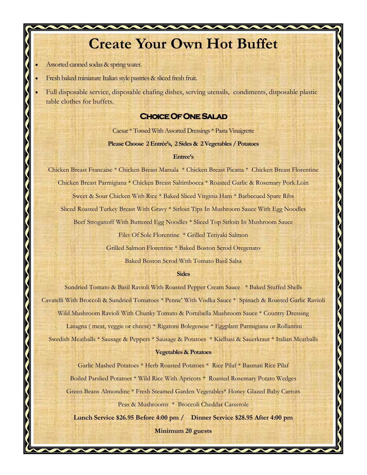## **Create Your Own Hot Buffet**

Assorted canned sodas & spring water.

Fresh baked miniature Italian style pastries & sliced fresh fruit.

 Full disposable service, disposable chafing dishes, serving utensils, condiments, disposable plastic table clothes for buffets.

#### **Choice Of One Salad**

Caesar \* Tossed With Assorted Dressings \* Pasta Vinaigrette

#### **Please Choose 2 Entrée's, 2 Sides & 2 Vegetables / Potatoes**

#### **Entree's**

Chicken Breast Francaise \* Chicken Breast Marsala \* Chicken Breast Picatta \* Chicken Breast Florentine Chicken Breast Parmigiana \* Chicken Breast Saltimbocca \* Roasted Garlic & Rosemary Pork Loin Sweet & Sour Chicken With Rice \* Baked Sliced Virginia Ham \* Barbecued Spare Ribs Sliced Roasted Turkey Breast With Gravy \* Sirloin Tips In Mushroom Sauce With Egg Noodles

Beef Stroganoff With Buttered Egg Noodles \* Sliced Top Sirloin In Mushroom Sauce

Filet Of Sole Florentine \* Grilled Teriyaki Salmon

Grilled Salmon Florentine \* Baked Boston Scrod Oregenato

Baked Boston Scrod With Tomato Basil Salsa

#### **Sides**

Sundried Tomato & Basil Ravioli With Roasted Pepper Cream Sauce \* Baked Stuffed Shells Cavatelli With Broccoli & Sundried Tomatoes \* Penne' With Vodka Sauce \* Spinach & Roasted Garlic Ravioli Wild Mushroom Ravioli With Chunky Tomato & Portabella Mushroom Sauce \* Country Dressing Lasagna ( meat, veggie or cheese) \* Rigatoni Bolegenese \* Eggplant Parmigiana or Rollantini Swedish Meatballs \* Sausage & Peppers \* Sausage & Potatoes \* Kielbasi & Sauerkraut \* Italian Meatballs

#### **Vegetables & Potatoes**

Garlic Mashed Potatoes \* Herb Roasted Potatoes \* Rice Pilaf \* Basmati Rice Pilaf

Boiled Parslied Potatoes \* Wild Rice With Apricots \* Roasted Rosemary Potato Wedges

Green Beans Almondine \* Fresh Steamed Garden Vegetables\* Honey Glazed Baby Carrots

Peas & Mushrooms \* Broccoli Cheddar Casserole

**Lunch Service \$26.95 Before 4:00 pm / Dinner Service \$28.95 After 4:00 pm** 

**Minimum 20 guests** 

 $\overline{\phantom{a}}$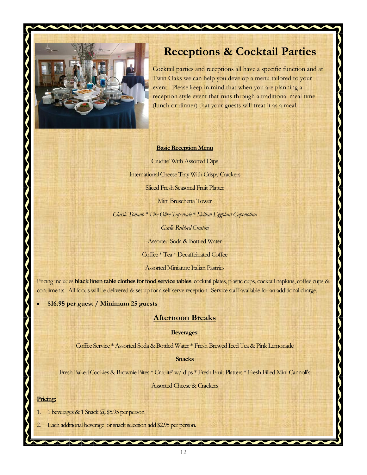

### **Receptions & Cocktail Parties**

Cocktail parties and receptions all have a specific function and at Twin Oaks we can help you develop a menu tailored to your event. Please keep in mind that when you are planning a reception style event that runs through a traditional meal time (lunch or dinner) that your guests will treat it as a meal.

 $\sum_{k=1}^{n}$ 

#### **Basic Reception Menu**

Crudite' With Assorted Dips International Cheese Tray With Crispy Crackers Sliced Fresh Seasonal Fruit Platter

Mini Bruschetta Tower

*Classic Tomato \* Five Olive Tapenade \* Sicilian Eggplant Caponotina*

*Garlic Rubbed Crostini*

Assorted Soda & Bottled Water

Coffee \* Tea \* Decaffeinated Coffee

Assorted Miniature Italian Pastries

Pricing includes **black linen table clothes for food service tables**, cocktail plates, plastic cups, cocktail napkins, coffee cups & condiments. All foods will be delivered & set up for a self serve reception. Service staff available for an additional charge.

**\$16.95 per guest / Minimum 25 guests** 

#### **Afternoon Breaks**

**Beverages:**

Coffee Service \* Assorted Soda & Bottled Water \* Fresh Brewed Iced Tea & Pink Lemonade

**Snacks**

Fresh Baked Cookies & Brownie Bites \* Crudité' w/ dips \* Fresh Fruit Platters \* Fresh Filled Mini Cannoli's

Assorted Cheese & Crackers

#### **Pricing:**

- 1. 1 beverages  $& 1$  Snack  $@$  \$5.95 per person
- Each additional beverage or snack selection add \$2.95 per person.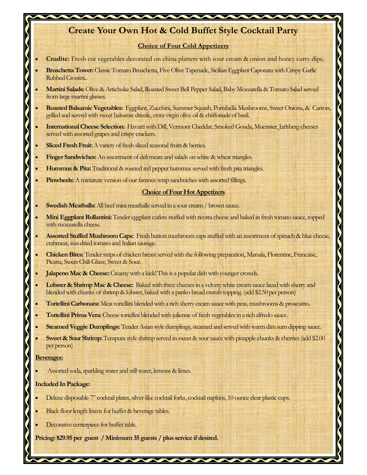### **Create Your Own Hot & Cold Buffet Style Cocktail Party**

#### **Choice of Four Cold Appetizers**

- **Crudite:** Fresh cut vegetables decorated on china platters with sour cream & onion and honey curry dips.
- **Bruschetta Tower:** Classic Tomato Bruschetta, Five Olive Tapenade, Sicilian Eggplant Caponata with Crispy Garlic Rubbed Crostini..
- **Martini Salads:** Olive & Artichoke Salad, Roasted Sweet Bell Pepper Salad, Baby Mozzarella & Tomato Salad served from large martini glasses.
- **Roasted Balsamic Vegetables:** Eggplant, Zucchini, Summer Squash, Portabella Mushrooms, Sweet Onions, & Carrots, grilled and served with sweet balsamic drizzle, extra virgin olive oil & chiffonade of basil.
- **International Cheese Selection:** Havarti with Dill, Vermont Cheddar, Smoked Gouda, Muenster, Jarlsberg cheeses served with assorted grapes and crispy crackers.
- **Sliced Fresh Fruit:** A variety of fresh sliced seasonal fruits & berries.
- **Finger Sandwiches:** An assortment of deli meats and salads on white & wheat triangles.
- **Hummus & Pita:** Traditional & roasted red pepper hummus served with fresh pita triangles.
- **Pinwheels:** A miniature version of our famous wrap sandwiches with assorted fillings.

#### **Choice of Four Hot Appetizers**

- **Swedish Meatballs:** All beef mini meatballs served in a sour cream / brown sauce.
- **Mini Eggplant Rollantini:** Tender eggplant cutlets stuffed with ricotta cheese and baked in fresh tomato sauce, topped with mozzarella cheese.
- **Assorted Stuffed Mushroom Caps:** Fresh button mushroom caps stuffed with an assortment of spinach & blue cheese, crabmeat, sun-dried tomato and Italian sausage.
- **Chicken Bites:** Tender strips of chicken breast served with the following preparation, Marsala, Florentine, Francaise, Picatta, Sweet Chili Glaze, Sweet & Sour.
- Jalapeno Mac & Cheese: Creamy with a kick! This is a popular dish with younger crowds.
- **Lobster & Shrimp Mac & Cheese:** Baked with three cheeses in a velvety white cream sauce laced with sherry and blended with chunks of shrimp & lobster, baked with a panko bread crumb topping. (add \$2.50 per person)
- **Tortellini Carbonara:** Meat tortellini blended with a rich sherry cream sauce with peas, mushrooms & proscuitto.
- **Tortellini Prima Vera:** Cheese tortellini blended with julienne of fresh vegetables in a rich alfredo sauce.
- **Steamed Veggie Dumplings:** Tender Asian style dumplings, steamed and served with warm dim sum dipping sauce.
- **Sweet & Sour Shrimp:** Tempura style shrimp served in sweet & sour sauce with pinapple chunks & cherries (add \$2.00 per person)

13

#### **Beverages:**

Assorted soda, sparkling water and still water, lemons & limes.

#### **Included In Package:**

- Deluxe disposable 7" cocktail plates, silver-like cocktail forks, cocktail napkins, 10 ounce clear plastic cups.
- Black floor length linens for buffet & beverage tables.
- Decorative centerpiece for buffet table.

**Pricing: \$29.95 per guest / Minimum 35 guests / plus service if desired.**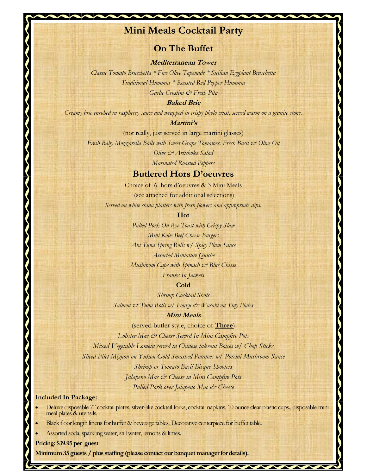### **Mini Meals Cocktail Party**

### **On The Buffet**

**Mediterranean Tower**

*Classic Tomato Bruschetta \* Five Olive Tapenade \* Sicilian Eggplant Bruschetta Traditional Hummus \* Roasted Red Pepper Hummus Garlic Crostini & Fresh Pita*

**Baked Brie**

*Creamy brie enrobed in raspberry sauce and wrapped in crispy phylo crust, served warm on a granite stone.*

#### **Martini's**

(not really, just served in large martini glasses)

*Fresh Baby Mozzarella Balls with Sweet Grape Tomatoes, Fresh Basil & Olive Oil Olive & Artichoke Salad*

*Marinated Roasted Peppers*

#### **Butlered Hors D'oeuvres**

Choice of 6 hors d'oeuvres & 3 Mini Meals (see attached for additional selections) *Served on white china platters with fresh flowers and appropriate dips.*

#### **Hot**

*Pulled Pork On Rye Toast with Crispy Slaw Mini Kobe Beef Cheese Burgers Ahi Tuna Spring Rolls w/ Spicy Plum Sauce Assorted Miniature Quiche Mushroom Caps with Spinach*  $\breve{c}$  *Blue Cheese Franks In Jackets*

#### **Cold**

*Shrimp Cocktail Shots Salmon & Tuna Rolls w/ Ponzu & Wasabi on Tiny Plates*

#### **Mini Meals**

(served butler style, choice of **Three**)

*Lobster Mac & Cheese Served In Mini Campfire Pots Mixed Vegetable Lomein served in Chinese takeout Boxes w/ Chop Sticks Sliced Filet Mignon on Yukon Gold Smashed Potatoes w/ Porcini Mushroom Sauce Shrimp or Tomato Basil Bisque Shooters Jalapeno Mac & Cheese in Mini Campfire Pots Pulled Pork over Jalapeno Mac & Cheese*

#### **Included In Package:**

- Deluxe disposable 7" cocktail plates, silver-like cocktail forks, cocktail napkins, 10 ounce clear plastic cups., disposable mini meal plates & utensils.
- Black floor length linens for buffet & beverage tables. Decorative centerpiece for buffet table.
- Assorted soda, sparkling water, still water, lemons & limes.

**Pricing: \$39.95 per guest** 

Minimum 35 guests / plus staffing (please contact our banquet manager for details).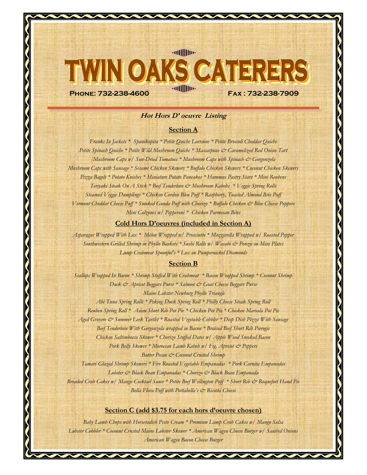#### **Hot Hors D' oeuvre Listing**

**Phone: 732-238-4600 Fax : 732-238-7909**

**Readilling** 

**OAKS CATER** 

#### **Section A**

*Franks In Jackets \* Spanikopita \* Petite Quiche Lorraine \* Petite Broccoli Cheddar Quiche* Petite Spinach Quiche \* Petite Wild Mushroom Quiche \* Mascarpone & Caramelized Red Onion Tart *]Mushroom Caps w/ Sun-Dried Tomatoes \* Mushroom Caps with Spinach & Gorgonzola Mushroom Caps with Sausage \* Sesame Chicken Skewers \* Buffalo Chicken Skewers \* Coconut Chicken Skewers Pizza Bagels \* Potato Knishes \* Miniature Potato Pancakes \* Hummus Pastry Stars \* Mini Reubens Teriyaki Steak On A Stick \* Beef Tenderloin & Mushroom Kabobs \* Veggie Spring Rolls Steamed Veggie Dumplings \* Chicken Cordon Bleu Puff \* Raspberry, Toasted Almond Brie Puff Vermont Cheddar Cheese Puff \* Smoked Gouda Puff with Chorizo \* Buffalo Chicken & Blue Cheese Poppers Mini Calzones w/ Pepperoni \* Chicken Parmesan Bites*

#### **Cold Hors D'oeuvres (included in Section A)**

*Asparagus Wrapped With Lox \* Melon Wrapped w/ Prosciutto \* Mozzarella Wrapped w/ Roasted Pepper Southwestern Grilled Shrimp in Phyllo Baskets \* Sushi Rolls w/ Wasabi & Ponzu on Mini Plates Lump Crabmeat Spoonful's \* Lox on Pumpernickel Diamonds* 

#### **Section B**

*Scallops Wrapped In Bacon \* Shrimp Stuffed With Crabmeat \* Bacon Wrapped Shrimp \* Coconut Shrimp Duck & Apricot Beggars Purse \* Salmon & Goat Cheese Beggars Purse Maine Lobster Newburg Phyllo Triangle*

*Ahi Tuna Spring Rolls \* Peking Duck Spring Roll \* Philly Cheese Steak Spring Roll Reuben Spring Roll \* Asian Short Rib Pot Pie \* Chicken Pot Pie \* Chicken Marsala Pot Pie* Aged Gruyere & Summer Leek Tartlet \* Roasted Vegetable Cobbler \* Deep Dish Pizza With Sausage *Beef Tenderloin With Gorgonzola wrapped in Bacon \* Braised Beef Short Rib Pierogis Chicken Saltimbocca Skewer \* Chorizo Stuffed Dates w/ Apple Wood Smoked Bacon* Pork Belly Skewer \* Moroccan Lamb Kabob w/ Fig, Apricot & Peppers *Butter Pecan & Coconut Crusted Shrimp*

*Tamari Glazed Shrimp Skewers \* Fire Roasted Vegetable Empanadas \* Pork Carnita Empanadas Lobster & Black Bean Empanadas \* Chorizo & Black Bean Empanada Breaded Crab Cakes w/ Mango Cocktail Sauce \* Petite Beef Wellington Puff \* Short Rib & Roquefort Hand Pie Bella Flora Puff with Portabella's & Ricotta Cheese* 

#### **Section C (add \$3.75 for each hors d'oeuvre chosen)**

*Baby Lamb Chops with Horseradish Pesto Cream \* Premium Lump Crab Cakes w/ Mango Salsa Lobster Cobbler \* Coconut Crusted Maine Lobster Skewer \* American Wagyu Cheese Burger w/ Sautéed Onions American Wagyu Bacon Cheese Burger* 

 $\overline{ }$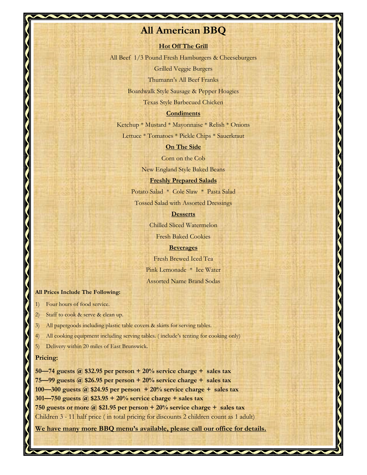### **All American BBQ**

#### **Hot Off The Grill**

All Beef 1/3 Pound Fresh Hamburgers & Cheeseburgers

Grilled Veggie Burgers

Thumann's All Beef Franks

Boardwalk Style Sausage & Pepper Hoagies

Texas Style Barbecued Chicken

#### **Condiments**

Ketchup \* Mustard \* Mayonnaise \* Relish \* Onions

Lettuce \* Tomatoes \* Pickle Chips \* Sauerkraut

#### **On The Side**

Corn on the Cob

New England Style Baked Beans

#### **Freshly Prepared Salads**

Potato Salad \* Cole Slaw \* Pasta Salad

Tossed Salad with Assorted Dressings

#### **Desserts**

Chilled Sliced Watermelon

Fresh Baked Cookies

#### **Beverages**

Fresh Brewed Iced Tea Pink Lemonade \* Ice Water Assorted Name Brand Sodas

 $\overline{a}$ 

#### **All Prices Include The Following:**

- **1) Four hours of food service.**
- 2) Staff to cook & serve & clean up.
- All papergoods including plastic table covers & skirts for serving tables.
- All cooking equipment including serving tables. (include's tenting for cooking only)
- 5) Delivery within 20 miles of East Brunswick.

#### **Pricing:**

**—74 guests @ \$32.95 per person + 20% service charge + sales tax —99 guests @ \$26.95 per person + 20% service charge + sales tax —300 guests @ \$24.95 per person + 20% service charge + sales tax —750 guests @ \$23.95 + 20% service charge + sales tax 750 guests or more @ \$21.95 per person + 20% service charge + sales tax** Children 3 - 11 half price ( in total pricing for discounts 2 children count as 1 adult)

**We have many more BBQ menu's available, please call our office for details.**